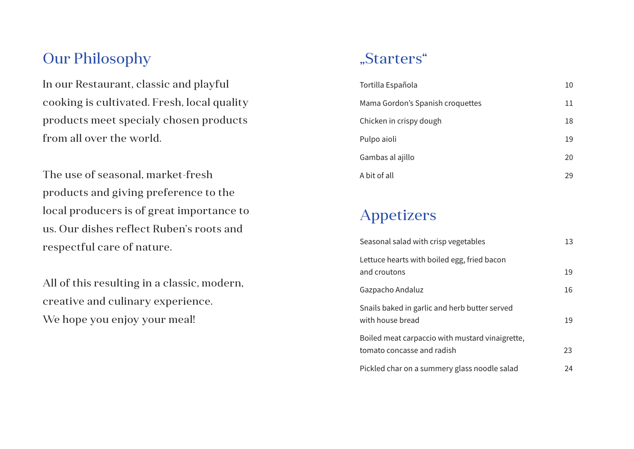## Our Philosophy

In our Restaurant, classic and playful cooking is cultivated. Fresh, local quality products meet specialy chosen products from all over the world.

The use of seasonal, market-fresh products and giving preference to the local producers is of great importance to us. Our dishes reflect Ruben's roots and respectful care of nature.

All of this resulting in a classic, modern, creative and culinary experience. We hope you enjoy your meal!

#### "Starters"

| Tortilla Española                | 10 |
|----------------------------------|----|
| Mama Gordon's Spanish croquettes | 11 |
| Chicken in crispy dough          | 18 |
| Pulpo aioli                      | 19 |
| Gambas al ajillo                 | 20 |
| A bit of all                     | 29 |

## Appetizers

| Seasonal salad with crisp vegetables                                          | 13 |
|-------------------------------------------------------------------------------|----|
| Lettuce hearts with boiled egg, fried bacon<br>and croutons                   | 19 |
| Gazpacho Andaluz                                                              | 16 |
| Snails baked in garlic and herb butter served<br>with house bread             | 19 |
| Boiled meat carpaccio with mustard vinaigrette,<br>tomato concasse and radish | 23 |
| Pickled char on a summery glass noodle salad                                  | 24 |